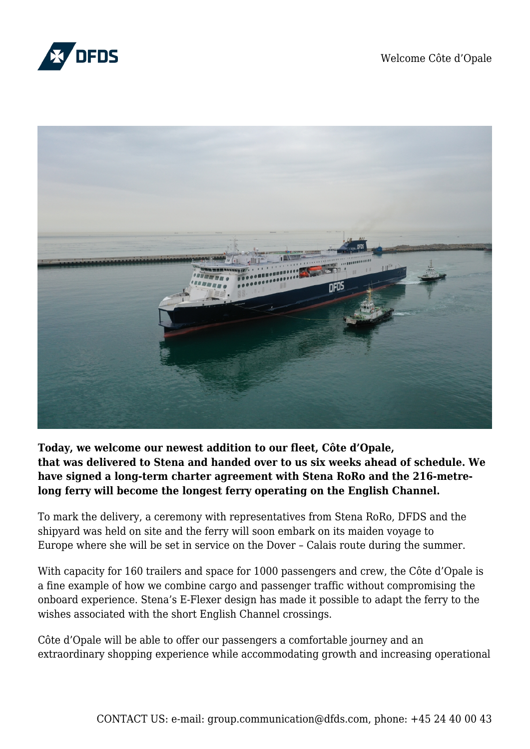



**Today, we welcome our newest addition to our fleet, Côte d'Opale, that was delivered to Stena and handed over to us six weeks ahead of schedule. We have signed a long-term charter agreement with Stena RoRo and the 216-metrelong ferry will become the longest ferry operating on the English Channel.** 

To mark the delivery, a ceremony with representatives from Stena RoRo, DFDS and the shipyard was held on site and the ferry will soon embark on its maiden voyage to Europe where she will be set in service on the Dover – Calais route during the summer.

With capacity for 160 trailers and space for 1000 passengers and crew, the Côte d'Opale is a fine example of how we combine cargo and passenger traffic without compromising the onboard experience. Stena's E-Flexer design has made it possible to adapt the ferry to the wishes associated with the short English Channel crossings.

Côte d'Opale will be able to offer our passengers a comfortable journey and an extraordinary shopping experience while accommodating growth and increasing operational